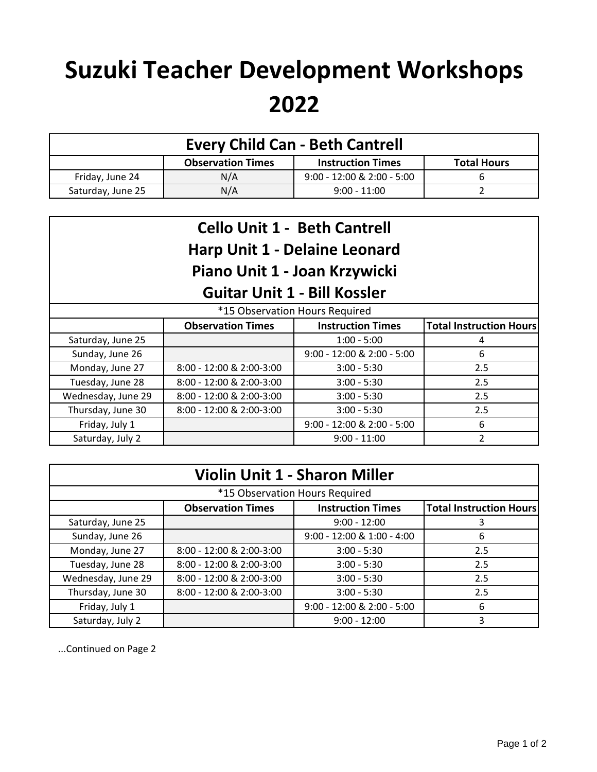## **Suzuki Teacher Development Workshops 2022**

| <b>Every Child Can - Beth Cantrell</b> |                          |                              |                    |
|----------------------------------------|--------------------------|------------------------------|--------------------|
|                                        | <b>Observation Times</b> | <b>Instruction Times</b>     | <b>Total Hours</b> |
| Friday, June 24                        | N/A                      | $9:00 - 12:00$ & 2:00 - 5:00 | b                  |
| Saturday, June 25                      | N/A                      | $9:00 - 11:00$               |                    |

| <b>Cello Unit 1 - Beth Cantrell</b><br><b>Harp Unit 1 - Delaine Leonard</b><br>Piano Unit 1 - Joan Krzywicki<br><b>Guitar Unit 1 - Bill Kossler</b> |                          |                            |                                |
|-----------------------------------------------------------------------------------------------------------------------------------------------------|--------------------------|----------------------------|--------------------------------|
| *15 Observation Hours Required                                                                                                                      |                          |                            |                                |
|                                                                                                                                                     | <b>Observation Times</b> | <b>Instruction Times</b>   | <b>Total Instruction Hours</b> |
| Saturday, June 25                                                                                                                                   |                          | $1:00 - 5:00$              | 4                              |
| Sunday, June 26                                                                                                                                     |                          | 9:00 - 12:00 & 2:00 - 5:00 | 6                              |
| Monday, June 27                                                                                                                                     | 8:00 - 12:00 & 2:00-3:00 | $3:00 - 5:30$              | 2.5                            |
| Tuesday, June 28                                                                                                                                    | 8:00 - 12:00 & 2:00-3:00 | $3:00 - 5:30$              | 2.5                            |
| Wednesday, June 29                                                                                                                                  | 8:00 - 12:00 & 2:00-3:00 | $3:00 - 5:30$              | 2.5                            |
| Thursday, June 30                                                                                                                                   | 8:00 - 12:00 & 2:00-3:00 | $3:00 - 5:30$              | 2.5                            |
| Friday, July 1                                                                                                                                      |                          | 9:00 - 12:00 & 2:00 - 5:00 | 6                              |
| Saturday, July 2                                                                                                                                    |                          | $9:00 - 11:00$             | $\overline{2}$                 |

| <b>Violin Unit 1 - Sharon Miller</b> |                          |                            |                                |
|--------------------------------------|--------------------------|----------------------------|--------------------------------|
| *15 Observation Hours Required       |                          |                            |                                |
|                                      | <b>Observation Times</b> | <b>Instruction Times</b>   | <b>Total Instruction Hours</b> |
| Saturday, June 25                    |                          | $9:00 - 12:00$             | 3                              |
| Sunday, June 26                      |                          | 9:00 - 12:00 & 1:00 - 4:00 | 6                              |
| Monday, June 27                      | 8:00 - 12:00 & 2:00-3:00 | $3:00 - 5:30$              | 2.5                            |
| Tuesday, June 28                     | 8:00 - 12:00 & 2:00-3:00 | $3:00 - 5:30$              | 2.5                            |
| Wednesday, June 29                   | 8:00 - 12:00 & 2:00-3:00 | $3:00 - 5:30$              | 2.5                            |
| Thursday, June 30                    | 8:00 - 12:00 & 2:00-3:00 | $3:00 - 5:30$              | 2.5                            |
| Friday, July 1                       |                          | 9:00 - 12:00 & 2:00 - 5:00 | 6                              |
| Saturday, July 2                     |                          | $9:00 - 12:00$             | 3                              |

...Continued on Page 2